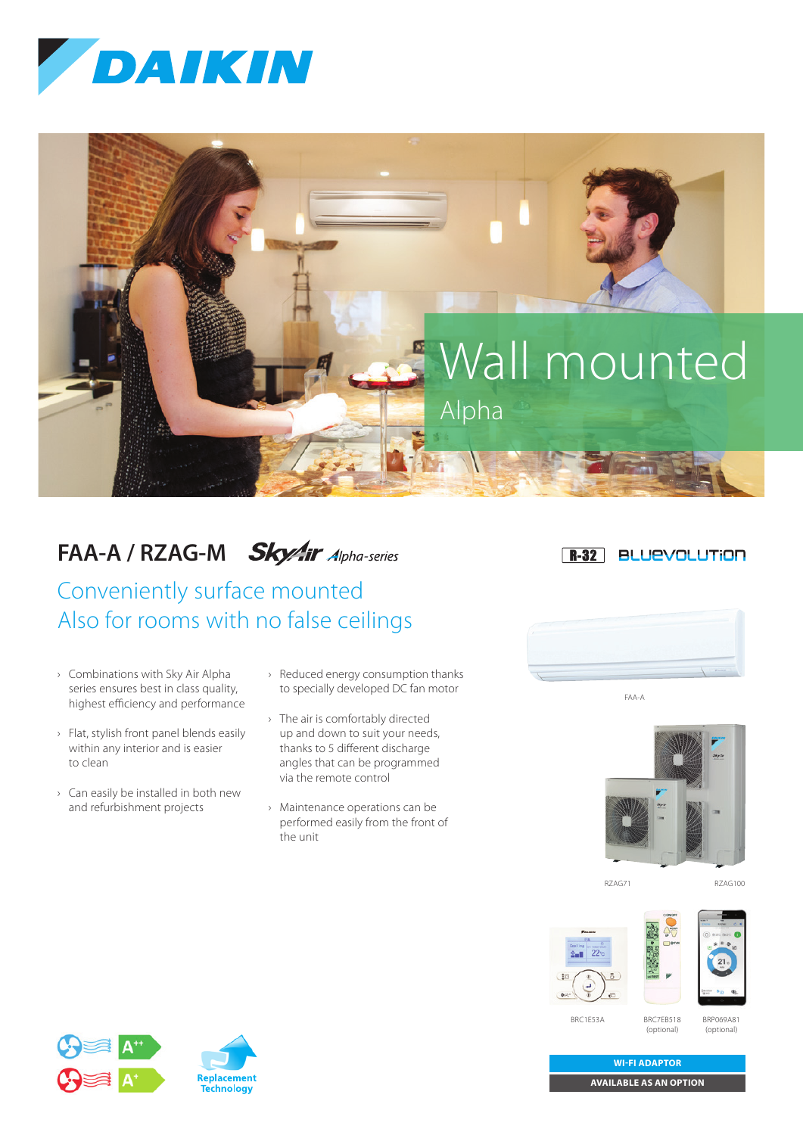



## **FAA-A / RZAG-M Sky/ir** Alpha-series

Conveniently surface mounted Also for rooms with no false ceilings

- › Combinations with Sky Air Alpha series ensures best in class quality, highest efficiency and performance
- › Flat, stylish front panel blends easily within any interior and is easier to clean
- › Can easily be installed in both new and refurbishment projects
- › Reduced energy consumption thanks to specially developed DC fan motor
- › The air is comfortably directed up and down to suit your needs, thanks to 5 different discharge angles that can be programmed via the remote control
- › Maintenance operations can be performed easily from the front of the unit





FAA-A



RZAG71 RZAG100





BRC1E53A

BRC7EB518 (optional)

BRP069A81 (optional)